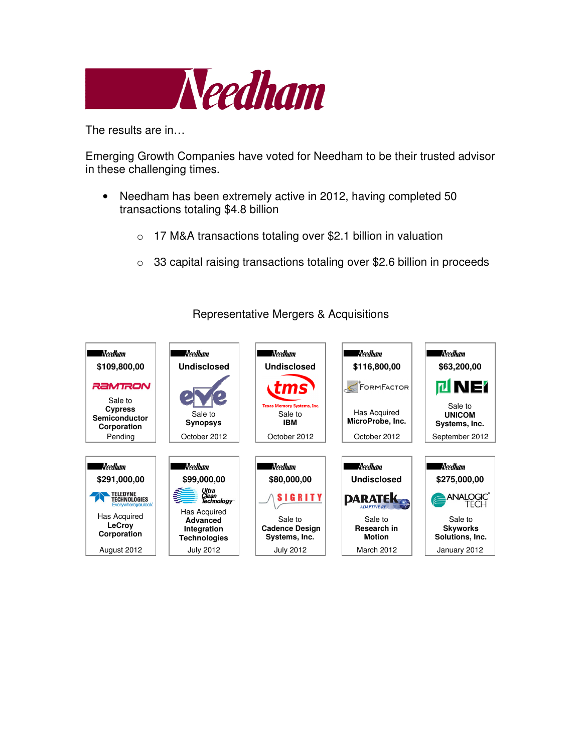

The results are in…

Emerging Growth Companies have voted for Needham to be their trusted advisor in these challenging times.

- Needham has been extremely active in 2012, having completed 50 transactions totaling \$4.8 billion
	- o 17 M&A transactions totaling over \$2.1 billion in valuation
	- o 33 capital raising transactions totaling over \$2.6 billion in proceeds



## Representative Mergers & Acquisitions